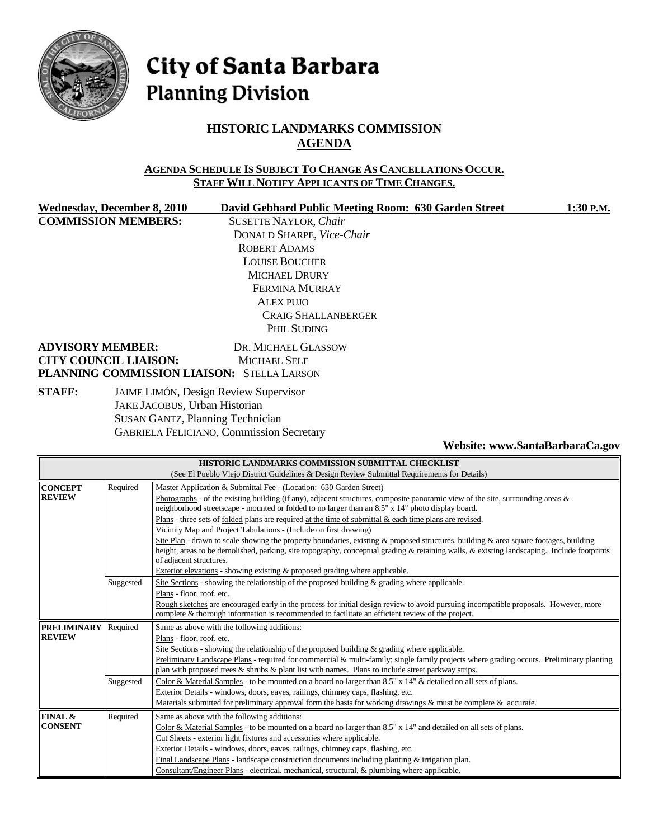

# City of Santa Barbara **Planning Division**

## **HISTORIC LANDMARKS COMMISSION AGENDA**

#### **AGENDA SCHEDULE IS SUBJECT TO CHANGE AS CANCELLATIONS OCCUR. STAFF WILL NOTIFY APPLICANTS OF TIME CHANGES.**

**COMMISSION MEMBERS:** SUSETTE NAYLOR, *Chair*

Wednesday, December 8, 2010 David Gebhard Public Meeting Room: 630 Garden Street 1:30 P.M. DONALD SHARPE, *Vice-Chair* ROBERT ADAMS LOUISE BOUCHER MICHAEL DRURY FERMINA MURRAY ALEX PUJO CRAIG SHALLANBERGER PHIL SUDING

#### **ADVISORY MEMBER:** DR. MICHAEL GLASSOW **CITY COUNCIL LIAISON:** MICHAEL SELF **PLANNING COMMISSION LIAISON:** STELLA LARSON

**STAFF:** JAIME LIMÓN, Design Review Supervisor JAKE JACOBUS, Urban Historian SUSAN GANTZ, Planning Technician GABRIELA FELICIANO, Commission Secretary

**Website: www.SantaBarbaraCa.gov** 

| HISTORIC LANDMARKS COMMISSION SUBMITTAL CHECKLIST                                            |           |                                                                                                                                            |
|----------------------------------------------------------------------------------------------|-----------|--------------------------------------------------------------------------------------------------------------------------------------------|
| (See El Pueblo Viejo District Guidelines & Design Review Submittal Requirements for Details) |           |                                                                                                                                            |
| <b>CONCEPT</b>                                                                               | Required  | Master Application & Submittal Fee - (Location: 630 Garden Street)                                                                         |
| <b>REVIEW</b>                                                                                |           | Photographs - of the existing building (if any), adjacent structures, composite panoramic view of the site, surrounding areas $\&$         |
|                                                                                              |           | neighborhood streetscape - mounted or folded to no larger than an 8.5" x 14" photo display board.                                          |
|                                                                                              |           | Plans - three sets of <u>folded</u> plans are required at the time of submittal $\&$ each time plans are revised.                          |
|                                                                                              |           | Vicinity Map and Project Tabulations - (Include on first drawing)                                                                          |
|                                                                                              |           | Site Plan - drawn to scale showing the property boundaries, existing & proposed structures, building & area square footages, building      |
|                                                                                              |           | height, areas to be demolished, parking, site topography, conceptual grading & retaining walls, & existing landscaping. Include footprints |
|                                                                                              |           | of adjacent structures.                                                                                                                    |
|                                                                                              |           | Exterior elevations - showing existing & proposed grading where applicable.                                                                |
|                                                                                              | Suggested | Site Sections - showing the relationship of the proposed building & grading where applicable.                                              |
|                                                                                              |           | Plans - floor, roof, etc.                                                                                                                  |
|                                                                                              |           | Rough sketches are encouraged early in the process for initial design review to avoid pursuing incompatible proposals. However, more       |
|                                                                                              |           | complete & thorough information is recommended to facilitate an efficient review of the project.                                           |
| <b>PRELIMINARY</b>                                                                           | Required  | Same as above with the following additions:                                                                                                |
| <b>REVIEW</b>                                                                                |           | Plans - floor, roof, etc.                                                                                                                  |
|                                                                                              |           | Site Sections - showing the relationship of the proposed building $\&$ grading where applicable.                                           |
|                                                                                              |           | Preliminary Landscape Plans - required for commercial & multi-family; single family projects where grading occurs. Preliminary planting    |
|                                                                                              |           | plan with proposed trees $\&$ shrubs $\&$ plant list with names. Plans to include street parkway strips.                                   |
|                                                                                              | Suggested | Color & Material Samples - to be mounted on a board no larger than 8.5" x 14" & detailed on all sets of plans.                             |
|                                                                                              |           | Exterior Details - windows, doors, eaves, railings, chimney caps, flashing, etc.                                                           |
|                                                                                              |           | Materials submitted for preliminary approval form the basis for working drawings $\&$ must be complete $\&$ accurate.                      |
| <b>FINAL &amp;</b>                                                                           | Required  | Same as above with the following additions:                                                                                                |
| <b>CONSENT</b>                                                                               |           | Color & Material Samples - to be mounted on a board no larger than 8.5" x 14" and detailed on all sets of plans.                           |
|                                                                                              |           | Cut Sheets - exterior light fixtures and accessories where applicable.                                                                     |
|                                                                                              |           | Exterior Details - windows, doors, eaves, railings, chimney caps, flashing, etc.                                                           |
|                                                                                              |           | Final Landscape Plans - landscape construction documents including planting & irrigation plan.                                             |
|                                                                                              |           | Consultant/Engineer Plans - electrical, mechanical, structural, & plumbing where applicable.                                               |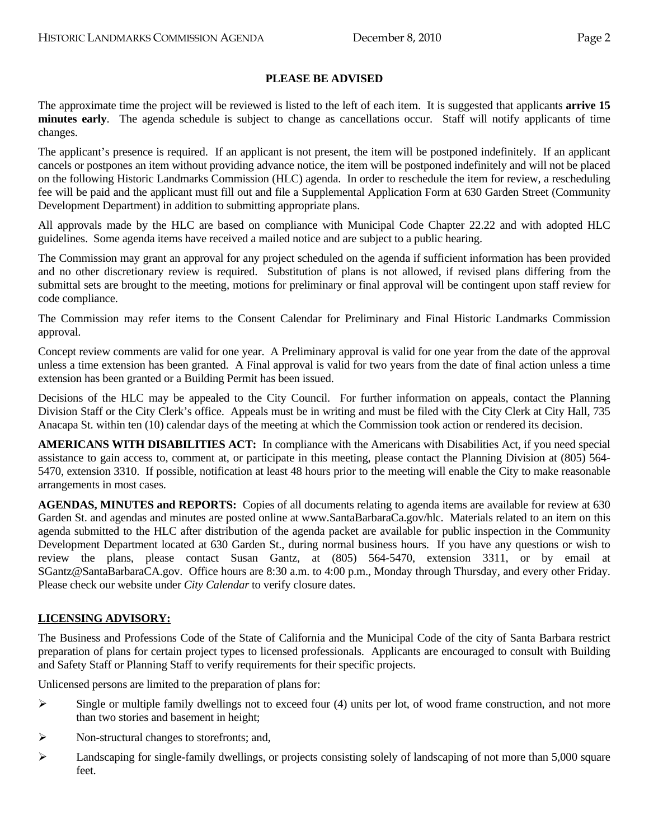#### **PLEASE BE ADVISED**

The approximate time the project will be reviewed is listed to the left of each item. It is suggested that applicants **arrive 15 minutes early**. The agenda schedule is subject to change as cancellations occur. Staff will notify applicants of time changes.

The applicant's presence is required. If an applicant is not present, the item will be postponed indefinitely. If an applicant cancels or postpones an item without providing advance notice, the item will be postponed indefinitely and will not be placed on the following Historic Landmarks Commission (HLC) agenda. In order to reschedule the item for review, a rescheduling fee will be paid and the applicant must fill out and file a Supplemental Application Form at 630 Garden Street (Community Development Department) in addition to submitting appropriate plans.

All approvals made by the HLC are based on compliance with Municipal Code Chapter 22.22 and with adopted HLC guidelines. Some agenda items have received a mailed notice and are subject to a public hearing.

The Commission may grant an approval for any project scheduled on the agenda if sufficient information has been provided and no other discretionary review is required. Substitution of plans is not allowed, if revised plans differing from the submittal sets are brought to the meeting, motions for preliminary or final approval will be contingent upon staff review for code compliance.

The Commission may refer items to the Consent Calendar for Preliminary and Final Historic Landmarks Commission approval.

Concept review comments are valid for one year. A Preliminary approval is valid for one year from the date of the approval unless a time extension has been granted. A Final approval is valid for two years from the date of final action unless a time extension has been granted or a Building Permit has been issued.

Decisions of the HLC may be appealed to the City Council. For further information on appeals, contact the Planning Division Staff or the City Clerk's office. Appeals must be in writing and must be filed with the City Clerk at City Hall, 735 Anacapa St. within ten (10) calendar days of the meeting at which the Commission took action or rendered its decision.

**AMERICANS WITH DISABILITIES ACT:** In compliance with the Americans with Disabilities Act, if you need special assistance to gain access to, comment at, or participate in this meeting, please contact the Planning Division at (805) 564- 5470, extension 3310. If possible, notification at least 48 hours prior to the meeting will enable the City to make reasonable arrangements in most cases.

**AGENDAS, MINUTES and REPORTS:** Copies of all documents relating to agenda items are available for review at 630 Garden St. and agendas and minutes are posted online at www.SantaBarbaraCa.gov/hlc. Materials related to an item on this agenda submitted to the HLC after distribution of the agenda packet are available for public inspection in the Community Development Department located at 630 Garden St., during normal business hours. If you have any questions or wish to review the plans, please contact Susan Gantz, at (805) 564-5470, extension 3311, or by email at SGantz@SantaBarbaraCA.gov. Office hours are 8:30 a.m. to 4:00 p.m., Monday through Thursday, and every other Friday. Please check our website under *City Calendar* to verify closure dates.

#### **LICENSING ADVISORY:**

The Business and Professions Code of the State of California and the Municipal Code of the city of Santa Barbara restrict preparation of plans for certain project types to licensed professionals. Applicants are encouraged to consult with Building and Safety Staff or Planning Staff to verify requirements for their specific projects.

Unlicensed persons are limited to the preparation of plans for:

- $\triangleright$  Single or multiple family dwellings not to exceed four (4) units per lot, of wood frame construction, and not more than two stories and basement in height;
- ¾ Non-structural changes to storefronts; and,
- $\blacktriangleright$  Landscaping for single-family dwellings, or projects consisting solely of landscaping of not more than 5,000 square feet.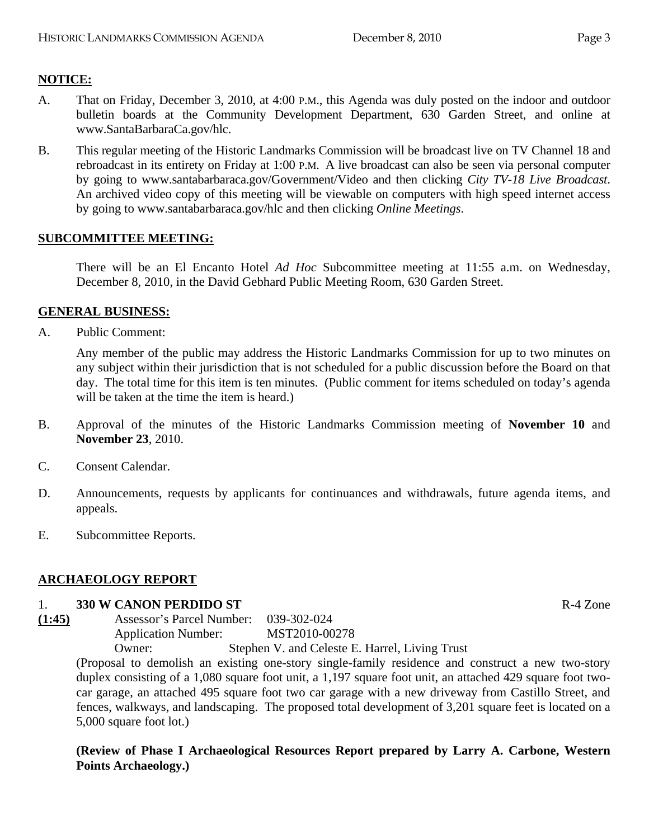## **NOTICE:**

- A. That on Friday, December 3, 2010, at 4:00 P.M., this Agenda was duly posted on the indoor and outdoor bulletin boards at the Community Development Department, 630 Garden Street, and online at www.SantaBarbaraCa.gov/hlc.
- B. This regular meeting of the Historic Landmarks Commission will be broadcast live on TV Channel 18 and rebroadcast in its entirety on Friday at 1:00 P.M. A live broadcast can also be seen via personal computer by going to www.santabarbaraca.gov/Government/Video and then clicking *City TV-18 Live Broadcast*. An archived video copy of this meeting will be viewable on computers with high speed internet access by going to www.santabarbaraca.gov/hlc and then clicking *Online Meetings*.

#### **SUBCOMMITTEE MEETING:**

There will be an El Encanto Hotel *Ad Hoc* Subcommittee meeting at 11:55 a.m. on Wednesday, December 8, 2010, in the David Gebhard Public Meeting Room, 630 Garden Street.

#### **GENERAL BUSINESS:**

A. Public Comment:

Any member of the public may address the Historic Landmarks Commission for up to two minutes on any subject within their jurisdiction that is not scheduled for a public discussion before the Board on that day. The total time for this item is ten minutes. (Public comment for items scheduled on today's agenda will be taken at the time the item is heard.)

- B. Approval of the minutes of the Historic Landmarks Commission meeting of **November 10** and **November 23**, 2010.
- C. Consent Calendar.
- D. Announcements, requests by applicants for continuances and withdrawals, future agenda items, and appeals.
- E. Subcommittee Reports.

#### **ARCHAEOLOGY REPORT**

#### 1. **330 W CANON PERDIDO ST** R-4 Zone

**(1:45)** Assessor's Parcel Number: 039-302-024 Application Number: MST2010-00278<br>Owner: Stephen V, and Celeste F Stephen V. and Celeste E. Harrel, Living Trust

(Proposal to demolish an existing one-story single-family residence and construct a new two-story duplex consisting of a 1,080 square foot unit, a 1,197 square foot unit, an attached 429 square foot twocar garage, an attached 495 square foot two car garage with a new driveway from Castillo Street, and fences, walkways, and landscaping. The proposed total development of 3,201 square feet is located on a 5,000 square foot lot.)

**(Review of Phase I Archaeological Resources Report prepared by Larry A. Carbone, Western Points Archaeology.)**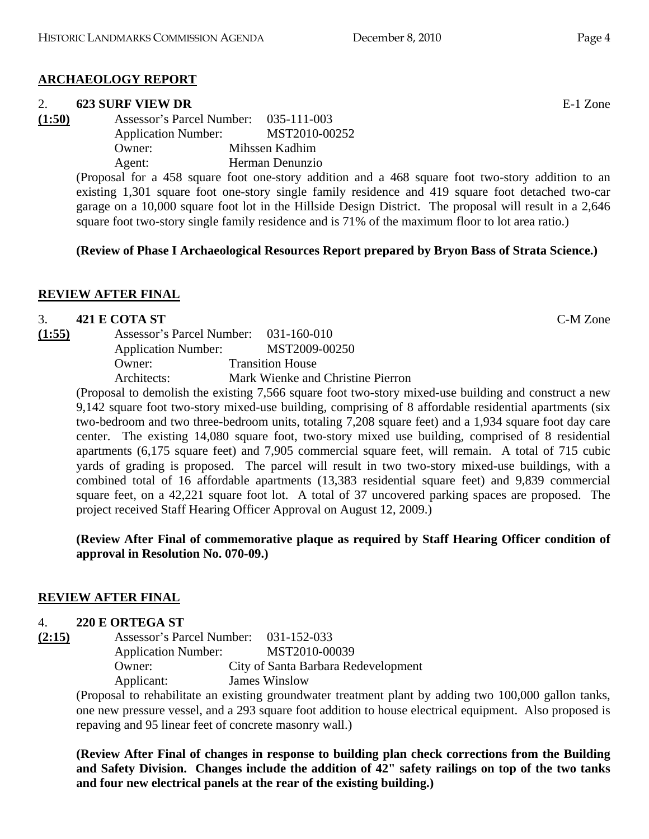# **ARCHAEOLOGY REPORT**

## 2. **623 SURF VIEW DR** E-1 Zone

**(1:50)** Assessor's Parcel Number: 035-111-003 Application Number: MST2010-00252 Owner: Mihssen Kadhim Agent: Herman Denunzio

> (Proposal for a 458 square foot one-story addition and a 468 square foot two-story addition to an existing 1,301 square foot one-story single family residence and 419 square foot detached two-car garage on a 10,000 square foot lot in the Hillside Design District. The proposal will result in a 2,646 square foot two-story single family residence and is 71% of the maximum floor to lot area ratio.)

## **(Review of Phase I Archaeological Resources Report prepared by Bryon Bass of Strata Science.)**

# **REVIEW AFTER FINAL**

# 3. **421 E COTA ST** C-M Zone

**(1:55)** Assessor's Parcel Number: 031-160-010 Application Number: MST2009-00250 Owner: Transition House Architects: Mark Wienke and Christine Pierron

(Proposal to demolish the existing 7,566 square foot two-story mixed-use building and construct a new 9,142 square foot two-story mixed-use building, comprising of 8 affordable residential apartments (six two-bedroom and two three-bedroom units, totaling 7,208 square feet) and a 1,934 square foot day care center. The existing 14,080 square foot, two-story mixed use building, comprised of 8 residential apartments (6,175 square feet) and 7,905 commercial square feet, will remain. A total of 715 cubic yards of grading is proposed. The parcel will result in two two-story mixed-use buildings, with a combined total of 16 affordable apartments (13,383 residential square feet) and 9,839 commercial square feet, on a 42,221 square foot lot. A total of 37 uncovered parking spaces are proposed. The project received Staff Hearing Officer Approval on August 12, 2009.)

#### **(Review After Final of commemorative plaque as required by Staff Hearing Officer condition of approval in Resolution No. 070-09.)**

# **REVIEW AFTER FINAL**

## 4. **220 E ORTEGA ST**

**(2:15)** Assessor's Parcel Number: 031-152-033 Application Number: MST2010-00039 Owner: City of Santa Barbara Redevelopment Applicant: James Winslow

(Proposal to rehabilitate an existing groundwater treatment plant by adding two 100,000 gallon tanks, one new pressure vessel, and a 293 square foot addition to house electrical equipment. Also proposed is repaving and 95 linear feet of concrete masonry wall.)

**(Review After Final of changes in response to building plan check corrections from the Building and Safety Division. Changes include the addition of 42" safety railings on top of the two tanks and four new electrical panels at the rear of the existing building.)**